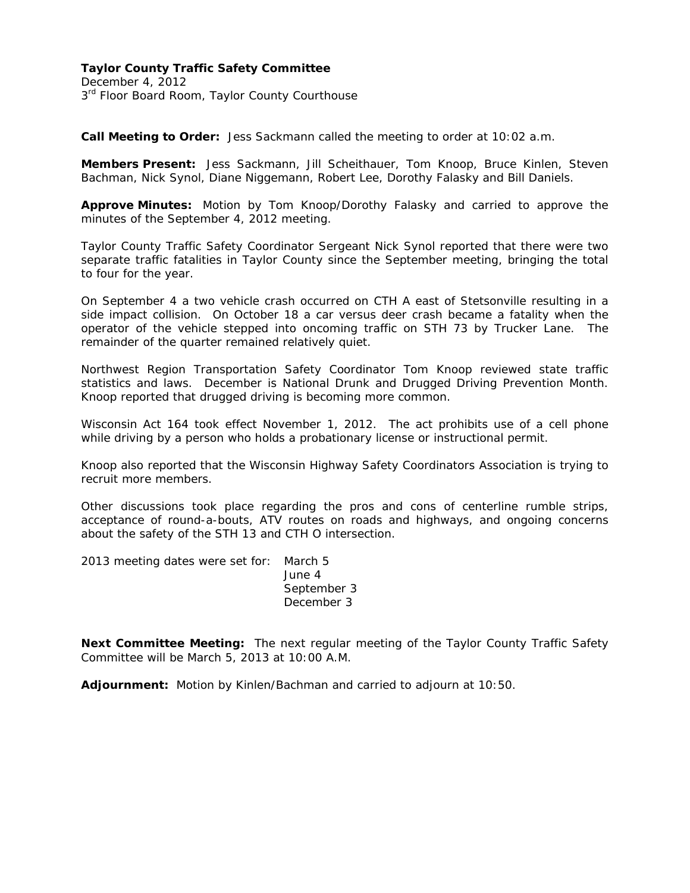December 4, 2012 3<sup>rd</sup> Floor Board Room, Taylor County Courthouse

**Call Meeting to Order:** Jess Sackmann called the meeting to order at 10:02 a.m.

**Members Present:** Jess Sackmann, Jill Scheithauer, Tom Knoop, Bruce Kinlen, Steven Bachman, Nick Synol, Diane Niggemann, Robert Lee, Dorothy Falasky and Bill Daniels.

**Approve Minutes:** Motion by Tom Knoop/Dorothy Falasky and carried to approve the minutes of the September 4, 2012 meeting.

Taylor County Traffic Safety Coordinator Sergeant Nick Synol reported that there were two separate traffic fatalities in Taylor County since the September meeting, bringing the total to four for the year.

On September 4 a two vehicle crash occurred on CTH A east of Stetsonville resulting in a side impact collision. On October 18 a car versus deer crash became a fatality when the operator of the vehicle stepped into oncoming traffic on STH 73 by Trucker Lane. The remainder of the quarter remained relatively quiet.

Northwest Region Transportation Safety Coordinator Tom Knoop reviewed state traffic statistics and laws. December is National Drunk and Drugged Driving Prevention Month. Knoop reported that drugged driving is becoming more common.

Wisconsin Act 164 took effect November 1, 2012. The act prohibits use of a cell phone while driving by a person who holds a probationary license or instructional permit.

Knoop also reported that the Wisconsin Highway Safety Coordinators Association is trying to recruit more members.

Other discussions took place regarding the pros and cons of centerline rumble strips, acceptance of round-a-bouts, ATV routes on roads and highways, and ongoing concerns about the safety of the STH 13 and CTH O intersection.

2013 meeting dates were set for: March 5

 June 4 September 3 December 3

**Next Committee Meeting:** The next regular meeting of the Taylor County Traffic Safety Committee will be March 5, 2013 at 10:00 A.M.

**Adjournment:** Motion by Kinlen/Bachman and carried to adjourn at 10:50.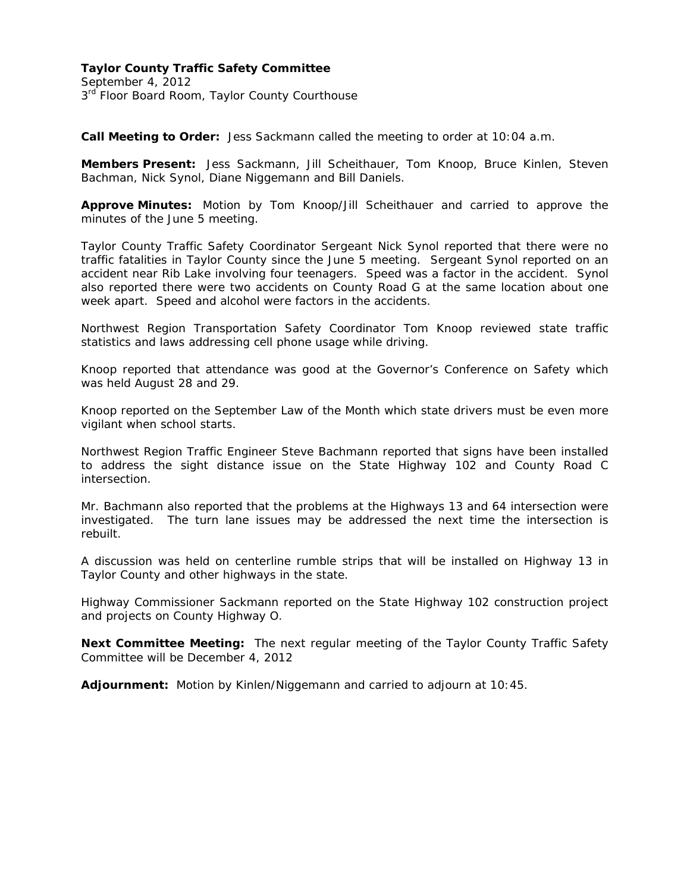September 4, 2012 3<sup>rd</sup> Floor Board Room, Taylor County Courthouse

**Call Meeting to Order:** Jess Sackmann called the meeting to order at 10:04 a.m.

**Members Present:** Jess Sackmann, Jill Scheithauer, Tom Knoop, Bruce Kinlen, Steven Bachman, Nick Synol, Diane Niggemann and Bill Daniels.

**Approve Minutes:** Motion by Tom Knoop/Jill Scheithauer and carried to approve the minutes of the June 5 meeting.

Taylor County Traffic Safety Coordinator Sergeant Nick Synol reported that there were no traffic fatalities in Taylor County since the June 5 meeting. Sergeant Synol reported on an accident near Rib Lake involving four teenagers. Speed was a factor in the accident. Synol also reported there were two accidents on County Road G at the same location about one week apart. Speed and alcohol were factors in the accidents.

Northwest Region Transportation Safety Coordinator Tom Knoop reviewed state traffic statistics and laws addressing cell phone usage while driving.

Knoop reported that attendance was good at the Governor's Conference on Safety which was held August 28 and 29.

Knoop reported on the September Law of the Month which state drivers must be even more vigilant when school starts.

Northwest Region Traffic Engineer Steve Bachmann reported that signs have been installed to address the sight distance issue on the State Highway 102 and County Road C intersection.

Mr. Bachmann also reported that the problems at the Highways 13 and 64 intersection were investigated. The turn lane issues may be addressed the next time the intersection is rebuilt.

A discussion was held on centerline rumble strips that will be installed on Highway 13 in Taylor County and other highways in the state.

Highway Commissioner Sackmann reported on the State Highway 102 construction project and projects on County Highway O.

**Next Committee Meeting:** The next regular meeting of the Taylor County Traffic Safety Committee will be December 4, 2012

**Adjournment:** Motion by Kinlen/Niggemann and carried to adjourn at 10:45.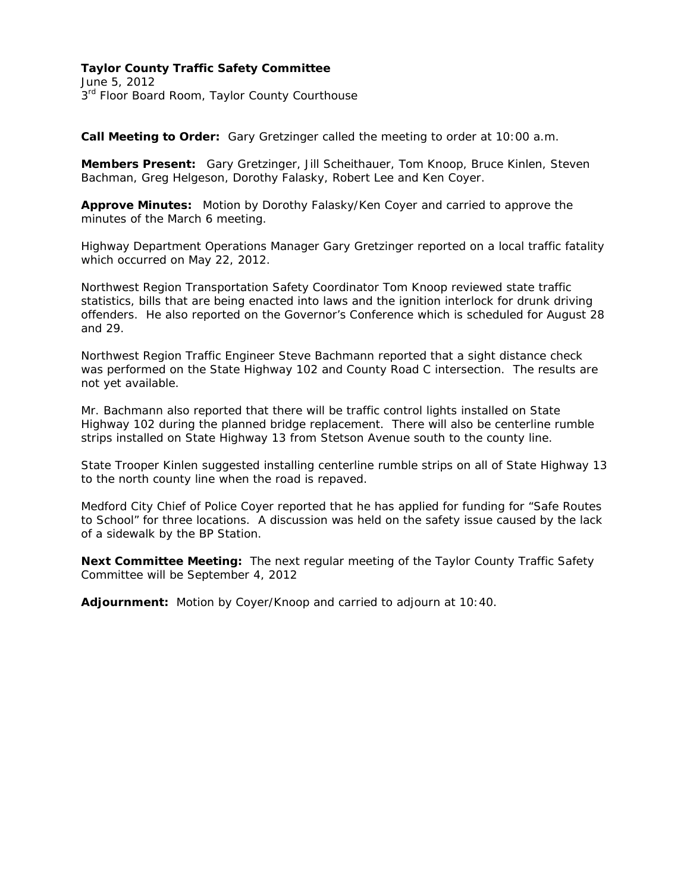June 5, 2012 3<sup>rd</sup> Floor Board Room, Taylor County Courthouse

**Call Meeting to Order:** Gary Gretzinger called the meeting to order at 10:00 a.m.

**Members Present:** Gary Gretzinger, Jill Scheithauer, Tom Knoop, Bruce Kinlen, Steven Bachman, Greg Helgeson, Dorothy Falasky, Robert Lee and Ken Coyer.

**Approve Minutes:** Motion by Dorothy Falasky/Ken Coyer and carried to approve the minutes of the March 6 meeting.

Highway Department Operations Manager Gary Gretzinger reported on a local traffic fatality which occurred on May 22, 2012.

Northwest Region Transportation Safety Coordinator Tom Knoop reviewed state traffic statistics, bills that are being enacted into laws and the ignition interlock for drunk driving offenders. He also reported on the Governor's Conference which is scheduled for August 28 and 29.

Northwest Region Traffic Engineer Steve Bachmann reported that a sight distance check was performed on the State Highway 102 and County Road C intersection. The results are not yet available.

Mr. Bachmann also reported that there will be traffic control lights installed on State Highway 102 during the planned bridge replacement. There will also be centerline rumble strips installed on State Highway 13 from Stetson Avenue south to the county line.

State Trooper Kinlen suggested installing centerline rumble strips on all of State Highway 13 to the north county line when the road is repaved.

Medford City Chief of Police Coyer reported that he has applied for funding for "Safe Routes to School" for three locations. A discussion was held on the safety issue caused by the lack of a sidewalk by the BP Station.

**Next Committee Meeting:** The next regular meeting of the Taylor County Traffic Safety Committee will be September 4, 2012

**Adjournment:** Motion by Coyer/Knoop and carried to adjourn at 10:40.